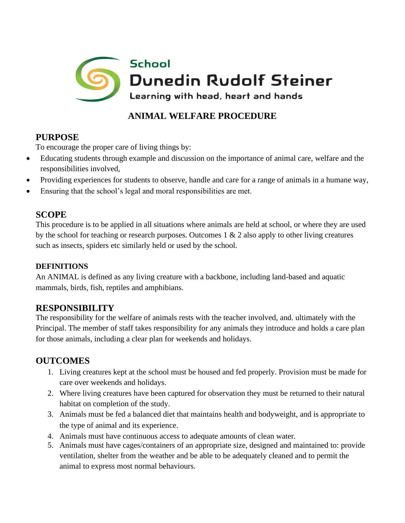

### **ANIMAL WELFARE PROCEDURE**

# **PURPOSE**

To encourage the proper care of living things by:

- Educating students through example and discussion on the importance of animal care, welfare and the responsibilities involved,
- Providing experiences for students to observe, handle and care for a range of animals in a humane way,
- Ensuring that the school's legal and moral responsibilities are met.

### **SCOPE**

This procedure is to be applied in all situations where animals are held at school, or where they are used by the school for teaching or research purposes. Outcomes 1 & 2 also apply to other living creatures such as insects, spiders etc similarly held or used by the school.

#### **DEFINITIONS**

An ANIMAL is defined as any living creature with a backbone, including land-based and aquatic mammals, birds, fish, reptiles and amphibians.

## **RESPONSIBILITY**

The responsibility for the welfare of animals rests with the teacher involved, and. ultimately with the Principal. The member of staff takes responsibility for any animals they introduce and holds a care plan for those animals, including a clear plan for weekends and holidays.

## **OUTCOMES**

- 1. Living creatures kept at the school must be housed and fed properly. Provision must be made for care over weekends and holidays.
- 2. Where living creatures have been captured for observation they must be returned to their natural habitat on completion of the study.
- 3. Animals must be fed a balanced diet that maintains health and bodyweight, and is appropriate to the type of animal and its experience.
- 4. Animals must have continuous access to adequate amounts of clean water.
- 5. Animals must have cages/containers of an appropriate size, designed and maintained to: provide ventilation, shelter from the weather and be able to be adequately cleaned and to permit the animal to express most normal behaviours.